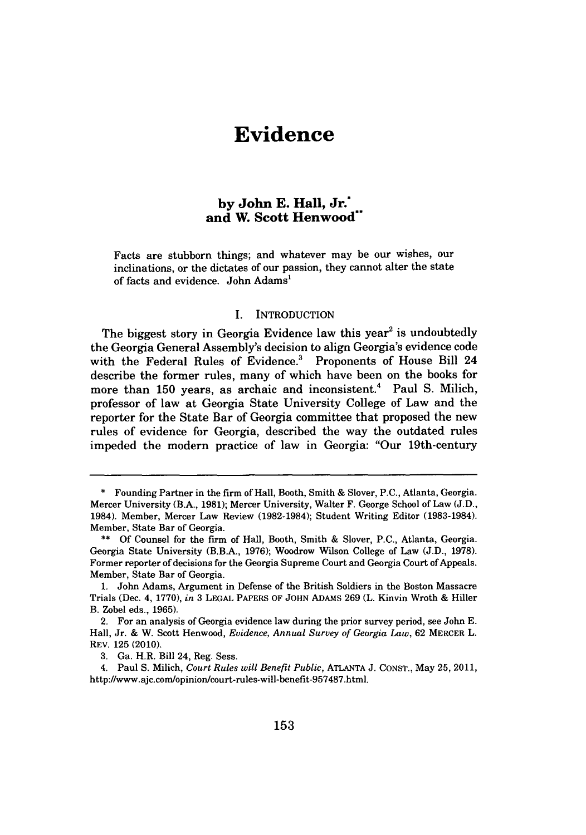# **Evidence**

## **by John E. Hall, Jr.\* and W. Scott Henwood"**

Facts are stubborn things; and whatever may be our wishes, our inclinations, or the dictates of our passion, they cannot alter the state of facts and evidence. John Adams'

#### I. INTRODUCTION

The biggest story in Georgia Evidence law this year<sup>2</sup> is undoubtedly the Georgia General Assembly's decision to align Georgia's evidence code with the Federal Rules of Evidence.<sup>3</sup> Proponents of House Bill 24 describe the former rules, many of which have been on the books for more than **150** years, as archaic and inconsistent.' Paul **S.** Milich, professor of law at Georgia State University College of Law and the reporter for the State Bar of Georgia committee that proposed the new rules of evidence for Georgia, described the way the outdated rules impeded the modern practice of law in Georgia: "Our 19th-century

**3.** Ga. H.R. Bill 24, Reg. Sess.

4. Paul **S.** Milich, *Court Rules will Benefit Public,* **ATLANTA J. CONST.,** May **25, 2011,** http://www.ajc.com/opinion/court-rules-will-benefit-957487.html.

**<sup>\*</sup>** Founding Partner in the firm of Hall, Booth, Smith **&** Slover, **P.C.,** Atlanta, Georgia. Mercer University (B.A., **1981);** Mercer University, Walter F. George School of Law **(J.D.,** 1984). Member, Mercer Law Review **(1982-1984);** Student Writing Editor **(1983-1984).** Member, State Bar of Georgia.

**<sup>\*\*</sup> Of** Counsel for the firm of Hall, Booth, Smith **&** Slover, **P.C.,** Atlanta, Georgia. Georgia State University (B.B.A., **1976);** Woodrow Wilson College of Law **(J.D., 1978).** Former reporter of decisions for the Georgia Supreme Court and Georgia Court of Appeals. Member, State Bar of Georgia.

**<sup>1.</sup>** John Adams, Argument in Defense of the British Soldiers in the Boston Massacre Trials (Dec. 4, **1770),** *in* **3 LEGAL** PAPERS OF **JOHN** ADAMS **269** (L. Kinvin Wroth **&** Hiller B. Zobel eds., **1965).**

<sup>2.</sup> For an analysis of Georgia evidence law during the prior survey period, see John **E.** Hall, Jr. **&** W. Scott Henwood, *Evidence, Annual Survey of Georgia Law,* **62** MERCER L. REV. **125** (2010).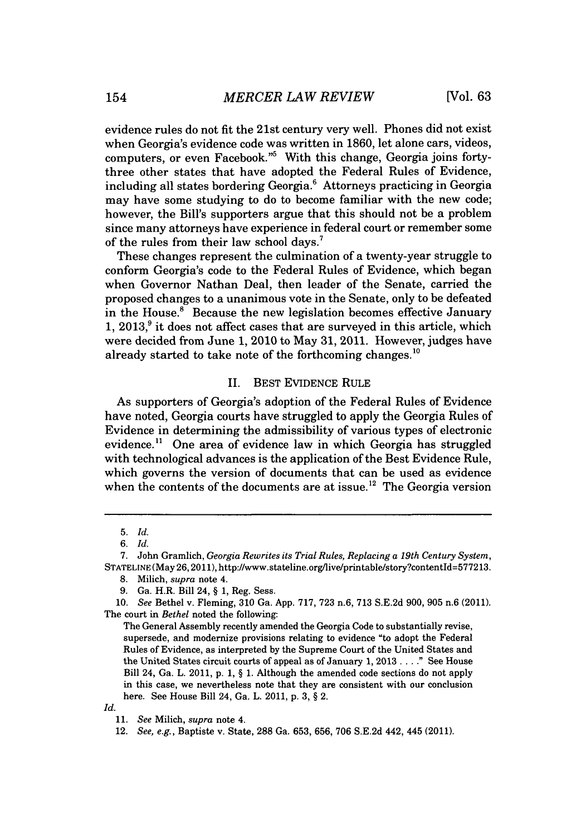evidence rules do not fit the 21st century very well. Phones did not exist when Georgia's evidence code was written in **1860,** let alone cars, videos, computers, or even Facebook.<sup>"5</sup> With this change, Georgia joins fortythree other states that have adopted the Federal Rules of Evidence, including all states bordering Georgia.<sup>6</sup> Attorneys practicing in Georgia may have some studying to do to become familiar with the new code; however, the Bill's supporters argue that this should not be a problem since many attorneys have experience in federal court or remember some of the rules from their law school days.'

These changes represent the culmination of a twenty-year struggle to conform Georgia's code to the Federal Rules of Evidence, which began when Governor Nathan Deal, then leader of the Senate, carried the proposed changes to a unanimous vote in the Senate, only to be defeated in the House.<sup>8</sup> Because the new legislation becomes effective January **1, 2013,'** it does not affect cases that are surveyed in this article, which were decided from June **1,** 2010 to May **31,** 2011. However, judges have already started to take note of the forthcoming changes.<sup>10</sup>

#### II. **BEST** EVIDENCE RULE

As supporters of Georgia's adoption of the Federal Rules of Evidence have noted, Georgia courts have struggled to apply the Georgia Rules of Evidence in determining the admissibility of various types of electronic evidence.<sup>11</sup> One area of evidence law in which Georgia has struggled with technological advances is the application of the Best Evidence Rule, which governs the version of documents that can be used as evidence when the contents of the documents are at issue.<sup>12</sup> The Georgia version

*Id.*

**<sup>5.</sup>** *Id.*

*<sup>6.</sup> Id.*

**<sup>7.</sup>** John Gramlich, *Georgia Rewrites its Trial Rules, Replacing a 19th Century System,* **STATELINE** (May **26,2011),** http://www.stateline.org/live/printable/story?contentId=577213.

**<sup>8.</sup>** Milich, *supra* note 4.

**<sup>9.</sup>** Ga. H.R. Bill 24, **§ 1,** Reg. Sess.

*<sup>10.</sup> See* Bethel v. Fleming, **310** Ga. **App. 717, 723** n.6, 713 **S.E.2d 900, 905** n.6 (2011). The court in *Bethel* noted the following:

The General Assembly recently amended the Georgia Code to substantially revise, supersede, and modernize provisions relating to evidence "to adopt the Federal Rules of Evidence, as interpreted **by** the Supreme Court of the United States and the United States circuit courts of appeal as of January **1, 2013 . . . ."** See House Bill 24, Ga. L. 2011, **p. 1, § 1.** Although the amended code sections do not apply in this case, we nevertheless note that they are consistent with our conclusion here. See House Bill 24, Ga. L. 2011, **p. 3, §** 2.

*<sup>11.</sup> See Milich, supra* note 4.

*<sup>12.</sup> See, e.g.,* Baptiste v. State, **288** Ga. **653, 656, 706 S.E.2d** 442, 445 (2011).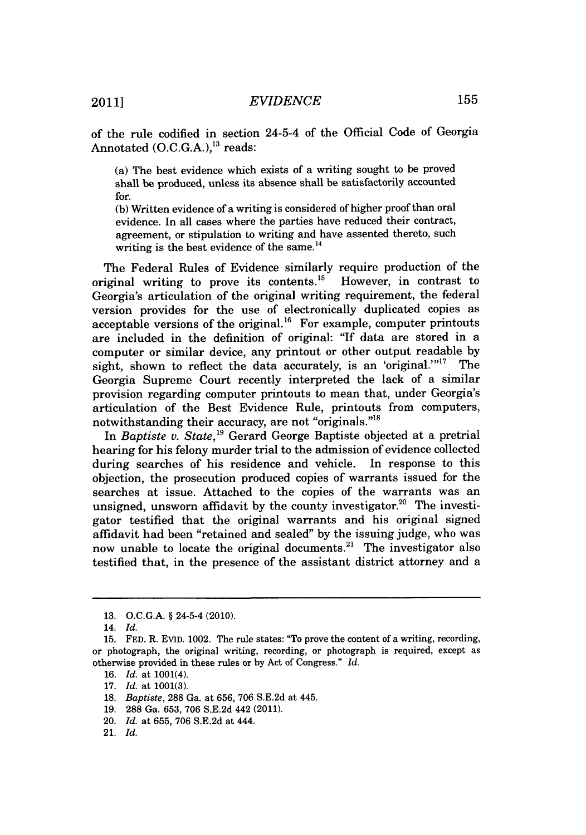of the rule codified in section 24-5-4 of the Official Code of Georgia Annotated  $(O.C.G.A.),<sup>13</sup> reads:$ 

(a) The best evidence which exists of a writing sought to be proved shall be produced, unless its absence shall be satisfactorily accounted for.

**(b)** Written evidence of a writing is considered of higher proof than oral evidence. In all cases where the parties have reduced their contract, agreement, or stipulation to writing and have assented thereto, such writing is the best evidence of the same. $^{14}$ 

The Federal Rules of Evidence similarly require production of the original writing to prove its contents.<sup>15</sup> However, in contrast to Georgia's articulation of the original writing requirement, the federal version provides for the use of electronically duplicated copies as acceptable versions of the original.<sup>16</sup> For example, computer printouts are included in the definition of original: "If data are stored in a computer or similar device, any printout or other output readable **by** sight, shown to reflect the data accurately, is an 'original.'"<sup>17</sup> The Georgia Supreme Court recently interpreted the lack of a similar provision regarding computer printouts to mean that, under Georgia's articulation of the Best Evidence Rule, printouts from computers, notwithstanding their accuracy, are not "originals."8

*In Baptiste v. State,'"* Gerard George Baptiste objected at a pretrial hearing for his felony murder trial to the admission of evidence collected during searches of his residence and vehicle. In response to this objection, the prosecution produced copies of warrants issued for the searches at issue. Attached to the copies of the warrants was an unsigned, unsworn affidavit by the county investigator.<sup>20</sup> The investigator testified that the original warrants and his original signed affidavit had been "retained and sealed" **by** the issuing judge, who was now unable to locate the original documents.<sup>21</sup> The investigator also testified that, in the presence of the assistant district attorney and a

**19. 288** Ga. **653, 706 S.E.2d** 442 (2011).

**<sup>13.</sup> O.C.G.A.** *§* 24-5-4 (2010).

<sup>14.</sup> *Id.*

**<sup>15.</sup> FED.** R. EVID. 1002. The rule states: "To prove the content of a writing, recording, or photograph, the original writing, recording, or photograph is required, except as otherwise provided in these rules or **by** Act of Congress." *Id.*

**<sup>16.</sup>** *Id.* at 1001(4).

**<sup>17.</sup>** *Id.* at **1001(3).**

**<sup>18.</sup>** *Baptiste,* **288** Ga. at **656, 706 S.E.2d** at 445.

<sup>20.</sup> *Id.* at **655, 706 S.E.2d** at 444.

<sup>21.</sup> *Id.*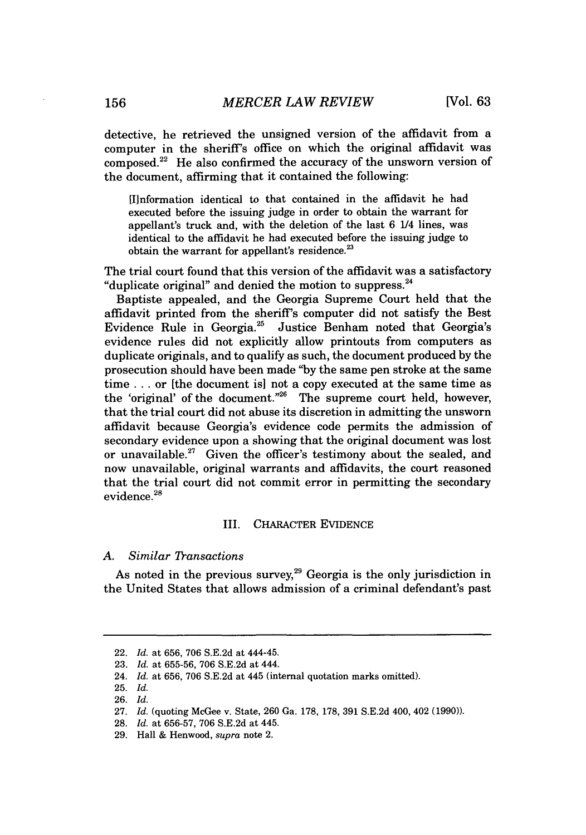detective, he retrieved the unsigned version of the affidavit from a computer in the sheriff's office on which the original affidavit was composed.<sup>22</sup> He also confirmed the accuracy of the unsworn version of the document, affirming that it contained the following:

[Ilnformation identical to that contained in the affidavit he had executed before the issuing judge in order to obtain the warrant for appellant's truck and, with the deletion of the last **6** 1/4 lines, was identical to the affidavit he had executed before the issuing judge to obtain the warrant for appellant's residence.<sup>23</sup>

The trial court found that this version of the affidavit was a satisfactory "duplicate original" and denied the motion to suppress. $^{24}$ 

Baptiste appealed, and the Georgia Supreme Court held that the affidavit printed from the sheriff's computer did not satisfy the Best Evidence Rule in Georgia.<sup>25</sup> Justice Benham noted that Georgia's evidence rules did not explicitly allow printouts from computers as duplicate originals, and to qualify as such, the document produced **by** the prosecution should have been made **"by** the same pen stroke at the same time **. . .** or [the document is] not a copy executed at the same time as the 'original' of the document."<sup>26</sup> The supreme court held, however, that the trial court did not abuse its discretion in admitting the unsworn affidavit because Georgia's evidence code permits the admission of secondary evidence upon a showing that the original document was lost or unavailable." Given the officer's testimony about the sealed, and now unavailable, original warrants and affidavits, the court reasoned that the trial court did not commit error in permitting the secondary evidence.<sup>28</sup>

#### III. **CHARACTER EVIDENCE**

#### *A. Similar Tansactions*

As noted in the previous survey,<sup>29</sup> Georgia is the only jurisdiction in the United States that allows admission of a criminal defendant's past

<sup>22.</sup> *Id.* at **656, 706 S.E.2d** at 444-45.

**<sup>23.</sup>** *Id.* at **655-56, 706 S.E.2d** at 444.

<sup>24.</sup> *Id.* at **656, 706 S.E.2d** at 445 (internal quotation marks omitted).

**<sup>25.</sup>** *Id.*

**<sup>26.</sup>** *Id.*

**<sup>27.</sup>** *Id.* (quoting McGee v. State, **260** Ga. **178, 178, 391 S.E.2d** 400, 402 **(1990)).**

**<sup>28.</sup>** *Id.* at **656-57, 706 S.E.2d** at 445.

**<sup>29.</sup>** Hall **&** Henwood, *supra* note 2.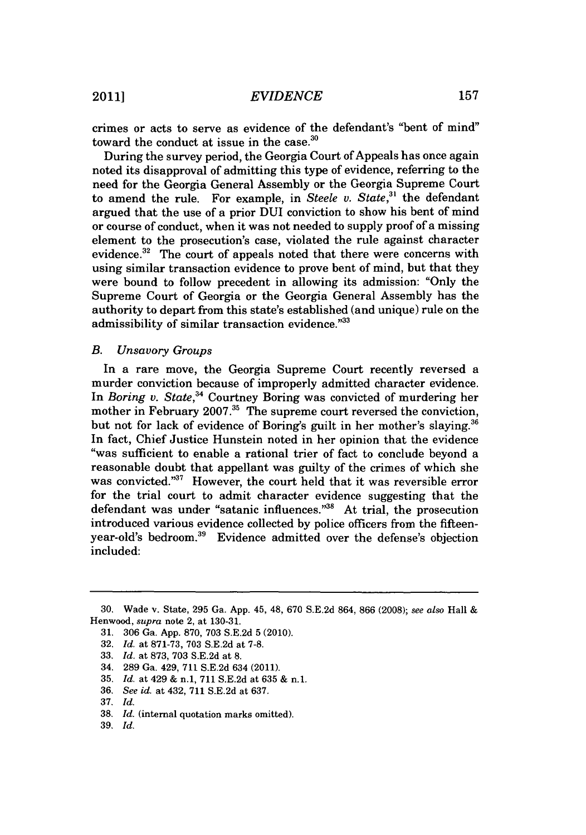crimes or acts to serve as evidence of the defendant's "bent of mind" toward the conduct at issue in the case.<sup>30</sup>

During the survey period, the Georgia Court of Appeals has once again noted its disapproval of admitting this type of evidence, referring to the need for the Georgia General Assembly or the Georgia Supreme Court to amend the rule. For example, in *Steele v. State*,<sup>31</sup> the defendant argued that the use of a prior DUI conviction to show his bent of mind or course of conduct, when it was not needed to supply proof of a missing element to the prosecution's case, violated the rule against character evidence. $32$  The court of appeals noted that there were concerns with using similar transaction evidence to prove bent of mind, but that they were bound to follow precedent in allowing its admission: "Only the Supreme Court of Georgia or the Georgia General Assembly has the authority to depart from this state's established (and unique) rule on the admissibility of similar transaction evidence."<sup>33</sup>

#### *B. Unsavory Groups*

In a rare move, the Georgia Supreme Court recently reversed a murder conviction because of improperly admitted character evidence. In *Boring v. State*,<sup>34</sup> Courtney Boring was convicted of murdering her mother in February 2007.<sup>35</sup> The supreme court reversed the conviction, but not for lack of evidence of Boring's guilt in her mother's slaying. In fact, Chief Justice Hunstein noted in her opinion that the evidence "was sufficient to enable a rational trier of fact to conclude beyond a reasonable doubt that appellant was guilty of the crimes of which she was convicted." However, the court held that it was reversible error for the trial court to admit character evidence suggesting that the defendant was under "satanic influences."<sup>38</sup> At trial, the prosecution introduced various evidence collected **by** police officers from the fifteenyear-old's bedroom.<sup>39</sup> Evidence admitted over the defense's objection included:

**<sup>30.</sup>** Wade v. State, **295** Ga. **App.** 45, 48, **670 S.E.2d** 864, **866 (2008);** see also Hall **&** Henwood, *supra* note 2, at **130-31.**

**<sup>31. 306</sup>** Ga. **App. 870, 703 S.E.2d 5** (2010).

**<sup>32.</sup>** *Id.* at **871-73, 703 S.E.2d** at **7-8.**

**<sup>33.</sup>** *Id.* at **873, 703 S.E.2d** at **8.**

<sup>34.</sup> **289** Ga. 429, **711 S.E.2d** 634 **(2011).**

**<sup>35.</sup>** *Id.* at 429 **&** n.1, **711 S.E.2d** at **635 &** n.1.

**<sup>36.</sup>** *See id.* at 432, **711 S.E.2d** at **637.**

**<sup>37.</sup>** *Id.*

**<sup>38.</sup>** *Id.* (internal quotation marks omitted).

**<sup>39.</sup>** *Id.*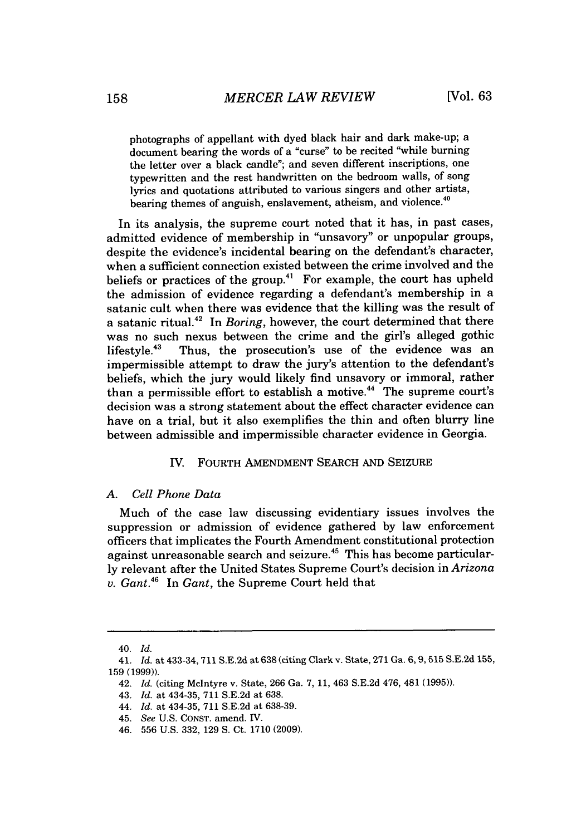photographs of appellant with dyed black hair and dark make-up; a document bearing the words of a "curse" to be recited "while burning the letter over a black candle"; and seven different inscriptions, one typewritten and the rest handwritten on the bedroom walls, of song lyrics and quotations attributed to various singers and other artists, bearing themes of anguish, enslavement, atheism, and violence.<sup>40</sup>

In its analysis, the supreme court noted that it has, in past cases, admitted evidence of membership in "unsavory" or unpopular groups, despite the evidence's incidental bearing on the defendant's character, when a sufficient connection existed between the crime involved and the beliefs or practices of the group.<sup>41</sup> For example, the court has upheld the admission of evidence regarding a defendant's membership in a satanic cult when there was evidence that the killing was the result of a satanic ritual.<sup>42</sup> In *Boring*, however, the court determined that there was no such nexus between the crime and the girl's alleged gothic lifestyle.<sup>43</sup> Thus, the prosecution's use of the evidence was an impermissible attempt to draw the jury's attention to the defendant's beliefs, which the jury would likely find unsavory or immoral, rather than a permissible effort to establish a motive.<sup>44</sup> The supreme court's decision was a strong statement about the effect character evidence can have on a trial, but it also exemplifies the thin and often blurry line between admissible and impermissible character evidence in Georgia.

#### IV. FOURTH **AMENDMENT** SEARCH **AND SEIZURE**

#### *A. Cell Phone Data*

Much of the case law discussing evidentiary issues involves the suppression or admission of evidence gathered **by** law enforcement officers that implicates the Fourth Amendment constitutional protection against unreasonable search and seizure.<sup>45</sup> This has become particular**ly** relevant after the United States Supreme Court's decision in *Arizona v. Gant.46 In Gant,* the Supreme Court held that

<sup>40.</sup> *Id.*

<sup>41.</sup> *Id. at* 433-34, 711 **S.E.2d** at **638** (citing Clark v. State, **271** Ga. **6,9,515 S.E.2d 155, 159 (1999)).**

<sup>42.</sup> *Id.* (citing McIntyre v. State, **266** Ga. **7, 11,** 463 **S.E.2d** 476, 481 **(1995)).**

<sup>43.</sup> *Id.* at 434-35, **711 S.E.2d** at **638.**

*<sup>44.</sup> Id.* at 434-35, **711 S.E.2d** at **638-39.**

<sup>45.</sup> *See* **U.S. CONST.** amend. IV.

*<sup>46.</sup>* **556 U.S. 332, 129 S.** Ct. **1710 (2009).**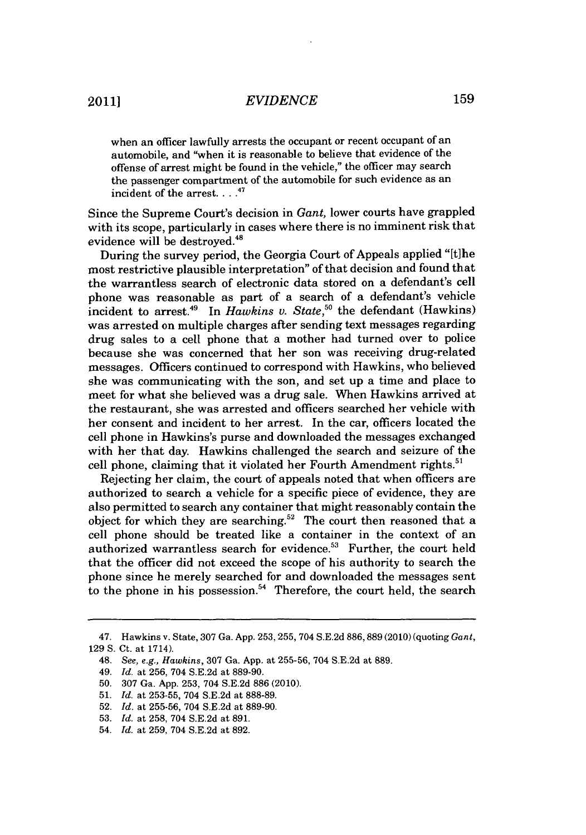# *EVIDENCE* 159

when an officer lawfully arrests the occupant or recent occupant of an automobile, and "when it is reasonable to believe that evidence of the offense of arrest might be found in the vehicle," the officer may search the passenger compartment of the automobile for such evidence as an incident of the arrest.  $\ldots$ <sup>47</sup>

Since the Supreme Court's decision in *Gant,* lower courts have grappled with its scope, particularly in cases where there is no imminent risk that evidence will be destroyed.<sup>48</sup>

During the survey period, the Georgia Court of Appeals applied "[t]he most restrictive plausible interpretation" of that decision and found that the warrantless search of electronic data stored on a defendant's cell phone was reasonable as part of a search of a defendant's vehicle incident to arrest.<sup>49</sup> In *Hawkins v. State*,<sup>50</sup> the defendant (Hawkins) was arrested on multiple charges after sending text messages regarding drug sales to a cell phone that a mother had turned over to police because she was concerned that her son was receiving drug-related messages. Officers continued to correspond with Hawkins, who believed she was communicating with the son, and set up a time and place to meet for what she believed was a drug sale. When Hawkins arrived at the restaurant, she was arrested and officers searched her vehicle with her consent and incident to her arrest. In the car, officers located the cell phone in Hawkins's purse and downloaded the messages exchanged with her that day. Hawkins challenged the search and seizure of the cell phone, claiming that it violated her Fourth Amendment rights.<sup>51</sup>

Rejecting her claim, the court of appeals noted that when officers are authorized to search a vehicle for a specific piece of evidence, they are also permitted to search any container that might reasonably contain the object for which they are searching.<sup>52</sup> The court then reasoned that a cell phone should be treated like a container in the context of an authorized warrantless search for evidence.<sup>53</sup> Further, the court held that the officer did not exceed the scope of his authority to search the phone since he merely searched for and downloaded the messages sent to the phone in his possession.<sup>54</sup> Therefore, the court held, the search

<sup>47.</sup> Hawkins v. State, **307** Ga. **App. 253, 255,** 704 **S.E.2d 886,889** (2010) (quoting *Gant,* **129 S.** Ct. at 1714).

<sup>48.</sup> *See, e.g., Hawkins,* **307** Ga. **App.** at **255-56,** 704 **S.E.2d** at **889.**

<sup>49.</sup> *Id.* at **256,** 704 **S.E.2d** at **889-90.**

**<sup>50. 307</sup>** Ga. **App. 253,** 704 **S.E.2d 886** (2010).

**<sup>51.</sup>** *Id.* at **253-55,** 704 **S.E.2d** at **888-89.**

**<sup>52.</sup>** *Id.* at **255-56,** 704 **S.E.2d** at **889-90.**

**<sup>53.</sup>** *Id.* at **258,** 704 **S.E.2d** at **891.**

<sup>54.</sup> *Id.* at **259,** 704 **S.E.2d** at **892.**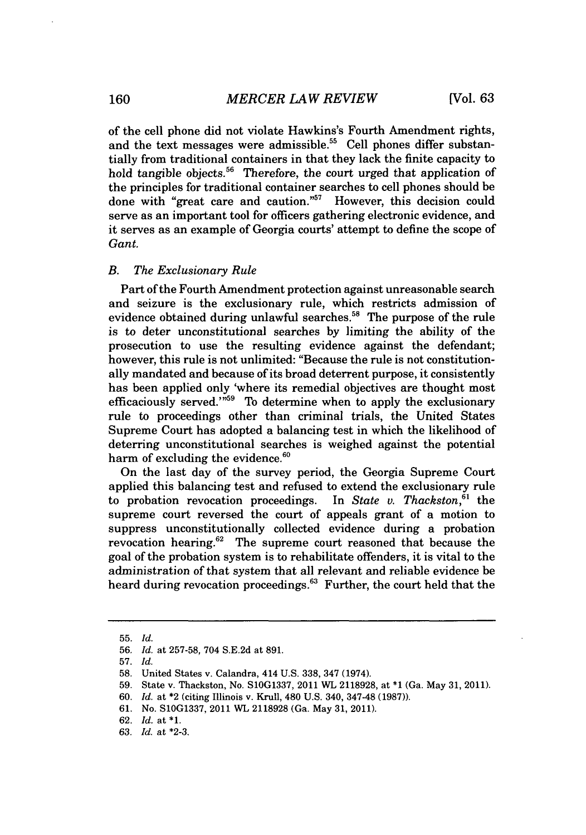of the cell phone did not violate Hawkins's Fourth Amendment rights, and the text messages were admissible.<sup>55</sup> Cell phones differ substantially from traditional containers in that they lack the finite capacity to hold tangible objects.<sup>56</sup> Therefore, the court urged that application of the principles for traditional container searches to cell phones should be done with "great care and caution."" However, this decision could serve as an important tool for officers gathering electronic evidence, and it serves as an example of Georgia courts' attempt to define the scope of *Gant.*

#### *B. The Exclusionary Rule*

Part of the Fourth Amendment protection against unreasonable search and seizure is the exclusionary rule, which restricts admission of evidence obtained during unlawful searches.<sup>58</sup> The purpose of the rule is to deter unconstitutional searches **by** limiting the ability of the prosecution to use the resulting evidence against the defendant; however, this rule is not unlimited: "Because the rule is not constitutionally mandated and because of its broad deterrent purpose, it consistently has been applied only 'where its remedial objectives are thought most efficaciously served." $59$  To determine when to apply the exclusionary rule to proceedings other than criminal trials, the United States Supreme Court has adopted a balancing test in which the likelihood of deterring unconstitutional searches is weighed against the potential harm of excluding the evidence.<sup>60</sup>

On the last day of the survey period, the Georgia Supreme Court applied this balancing test and refused to extend the exclusionary rule to probation revocation proceedings. In *State v. Thackston,"* the supreme court reversed the court of appeals grant of a motion to suppress unconstitutionally collected evidence during a probation revocation hearing.<sup>62</sup> The supreme court reasoned that because the goal of the probation system is to rehabilitate offenders, it is vital to the administration of that system that all relevant and reliable evidence be heard during revocation proceedings.<sup>63</sup> Further, the court held that the

**60.** *Id.* at \*2 (citing Illinois v. Krull, 480 **U.S.** 340, 347-48 **(1987)).**

**<sup>55.</sup>** *Id.*

**<sup>56.</sup>** *Id.* at **257-58,** 704 **S.E.2d** at **891.**

**<sup>57.</sup>** *Id.*

**<sup>58.</sup>** United States v. Calandra, 414 **U.S. 338,** 347 (1974).

**<sup>59.</sup>** State v. Thackston, No. **S10G1337, 2011** WL **2118928,** at **\*1** (Ga. May **31, 2011).**

**<sup>61.</sup>** No. **S10G1337,** 2011 WL **2118928** (Ga. May **31, 2011).**

**<sup>62.</sup>** *Id.* at **\*1.**

*<sup>63.</sup> Id.* at **\*2-3.**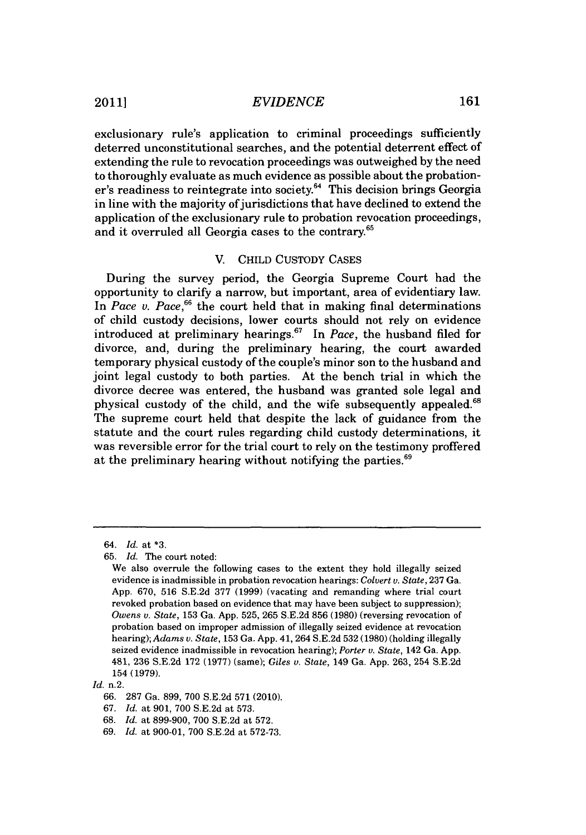exclusionary rule's application to criminal proceedings sufficiently deterred unconstitutional searches, and the potential deterrent effect of extending the rule to revocation proceedings was outweighed **by** the need to thoroughly evaluate as much evidence as possible about the probationer's readiness to reintegrate into society.<sup>64</sup> This decision brings Georgia in line with the majority of jurisdictions that have declined to extend the application of the exclusionary rule to probation revocation proceedings, and it overruled all Georgia cases to the contrary.65

#### V. **CHILD CUSTODY CASES**

During the survey period, the Georgia Supreme Court had the opportunity to clarify a narrow, but important, area of evidentiary law. In *Pace v. Pace*,<sup>66</sup> the court held that in making final determinations of child custody decisions, lower courts should not rely on evidence introduced at preliminary hearings.<sup>67</sup> In *Pace*, the husband filed for divorce, and, during the preliminary hearing, the court awarded temporary physical custody of the couple's minor son to the husband and joint legal custody to both parties. At the bench trial in which the divorce decree was entered, the husband was granted sole legal and physical custody of the child, and the wife subsequently appealed.<sup>68</sup> The supreme court held that despite the lack of guidance from the statute and the court rules regarding child custody determinations, it was reversible error for the trial court to rely on the testimony proffered at the preliminary hearing without notifying the parties. $69$ 

*<sup>64.</sup> Id. at* **\*3.**

**<sup>65.</sup>** *Id.* The court noted:

We also overrule the following cases to the extent they hold illegally seized evidence is inadmissible in probation revocation hearings: *Colvert v. State,* **237** Ga. **App. 670, 516 S.E.2d 377 (1999)** (vacating and remanding where trial court revoked probation based on evidence that may have been subject to suppression); *Owens v. State,* **153** Ga. **App. 525, 265 S.E.2d 856 (1980)** (reversing revocation of probation based on improper admission of illegally seized evidence at revocation hearing); *Adams v. State,* **153** Ga. **App.** 41, 264 **S.E.2d 532 (1980)** (holding illegally seized evidence inadmissible in revocation hearing); *Porter v. State,* 142 Ga. **App.** 481, **236 S.E.2d 172 (1977)** (same); *Giles v. State,* 149 Ga. **App. 263,** 254 **S.E.2d 154 (1979).**

*Id.* n.2.

**<sup>66. 287</sup>** Ga. **899, 700 S.E.2d 571** (2010).

**<sup>67.</sup>** *Id.* at **901, 700 S.E.2d** at **573.**

**<sup>68.</sup>** *Id.* at **899-900, 700 S.E.2d** at **572.**

**<sup>69.</sup>** *Id.* at **900-01, 700 S.E.2d** at **572-73.**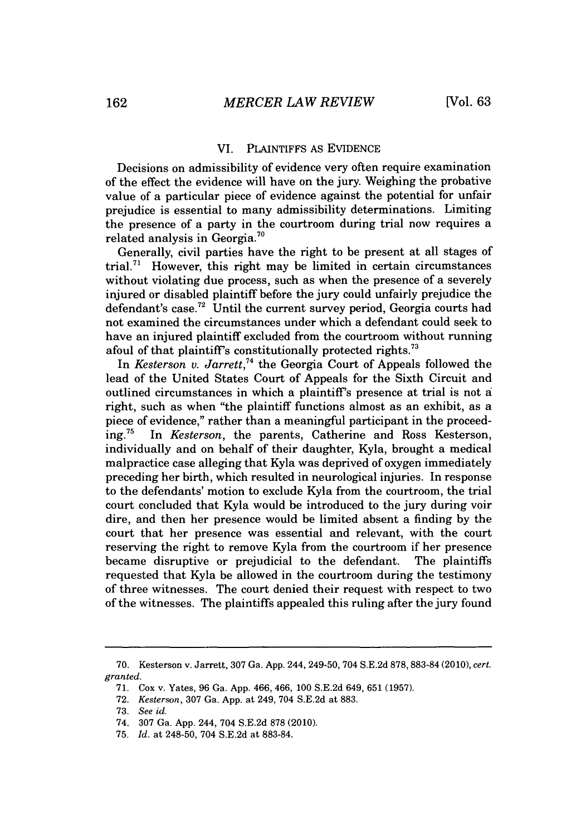#### VI. PLAINTIFFS As **EVIDENCE**

Decisions on admissibility of evidence very often require examination of the effect the evidence will have on the jury. Weighing the probative value of a particular piece of evidence against the potential for unfair prejudice is essential to many admissibility determinations. Limiting the presence of a party in the courtroom during trial now requires a related analysis in Georgia.<sup>70</sup>

Generally, civil parties have the right to be present at all stages of trial.<sup>71</sup> However, this right may be limited in certain circumstances without violating due process, such as when the presence of a severely injured or disabled plaintiff before the jury could unfairly prejudice the defendant's case.<sup>72</sup> Until the current survey period, Georgia courts had not examined the circumstances under which a defendant could seek to have an injured plaintiff excluded from the courtroom without running afoul of that plaintiff's constitutionally protected rights.<sup>73</sup>

*In Kesterson v. Jarrett,"4* the Georgia Court of Appeals followed the lead of the United States Court of Appeals for the Sixth Circuit and outlined circumstances in which a plaintiff's presence at trial is not **a** right, such as when "the plaintiff functions almost as an exhibit, as a piece of evidence," rather than a meaningful participant in the proceed-<br>ing.<sup>75</sup> In *Kesterson*, the parents, Catherine and Ross Kesterson, In Kesterson, the parents, Catherine and Ross Kesterson, individually and on behalf of their daughter, Kyla, brought a medical malpractice case alleging that Kyla was deprived of oxygen immediately preceding her birth, which resulted in neurological injuries. In response to the defendants' motion to exclude Kyla from the courtroom, the trial court concluded that Kyla would be introduced to the jury during voir dire, and then her presence would be limited absent a finding **by** the court that her presence was essential and relevant, with the court reserving the right to remove Kyla from the courtroom if her presence became disruptive or prejudicial to the defendant. The plaintiffs requested that Kyla be allowed in the courtroom during the testimony of three witnesses. The court denied their request with respect to two of the witnesses. The plaintiffs appealed this ruling after the jury found

**<sup>70.</sup>** Kesterson v. Jarrett, **307** Ga. **App.** 244, 249-50, 704 **S.E.2d 878, 883-84(2010),** cert. *granted.*

**<sup>71.</sup>** Cox v. Yates, **96** Ga. **App.** 466, 466, **100 S.E.2d** 649, **651 (1957).**

**<sup>72.</sup>** *Kesterson,* **307** Ga. **App.** at 249, 704 **S.E.2d** at **883.**

**<sup>73.</sup>** *See id.*

*<sup>74.</sup>* **307** Ga. **App.** 244, 704 **S.E.2d 878** (2010).

**<sup>75.</sup>** *Id.* at 248-50, 704 **S.E.2d** at **883-84.**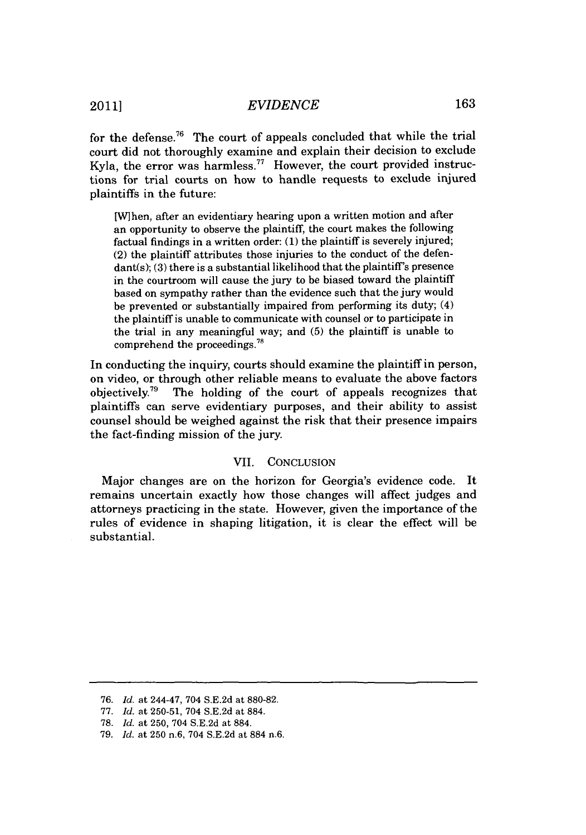for the defense.<sup>76</sup> The court of appeals concluded that while the trial court did not thoroughly examine and explain their decision to exclude Kyla, the error was harmless.<sup>77</sup> However, the court provided instructions for trial courts on how to handle requests to exclude injured plaintiffs in the future:

[When, after an evidentiary hearing upon a written motion and after an opportunity to observe the plaintiff, the court makes the following factual findings in a written order: **(1)** the plaintiff is severely injured; (2) the plaintiff attributes those injuries to the conduct of the defendant(s); **(3)** there is a substantial likelihood that the plaintiff's presence in the courtroom will cause the jury to **be** biased toward the plaintiff based on sympathy rather than the evidence such that the jury would be prevented or substantially impaired from performing its duty; (4) the plaintiff is unable to communicate with counsel or to participate in the trial in any meaningful way; and **(5)** the plaintiff is unable to comprehend the proceedings."

In conducting the inquiry, courts should examine the plaintiff in person, on video, or through other reliable means to evaluate the above factors objectively.<sup>79</sup> The holding of the court of appeals recognizes that plaintiffs can serve evidentiary purposes, and their ability to assist counsel should be weighed against the risk that their presence impairs the fact-finding mission of the jury.

### VII. **CONCLUSION**

Major changes are on the horizon for Georgia's evidence code. It remains uncertain exactly how those changes will affect judges and attorneys practicing in the state. However, given the importance of the rules of evidence in shaping litigation, it is clear the effect will be substantial.

*<sup>76.</sup> Id.* at 244-47, 704 **S.E.2d** at **880-82.**

*<sup>77.</sup> Id.* at **250-51,** 704 **S.E.2d** at **884.**

**<sup>78.</sup>** *Id.* at **250,** 704 **S.E.2d** at **884.**

**<sup>79.</sup>** *Id.* at **250** n.6, 704 **S.E.2d** at **884** n.6.